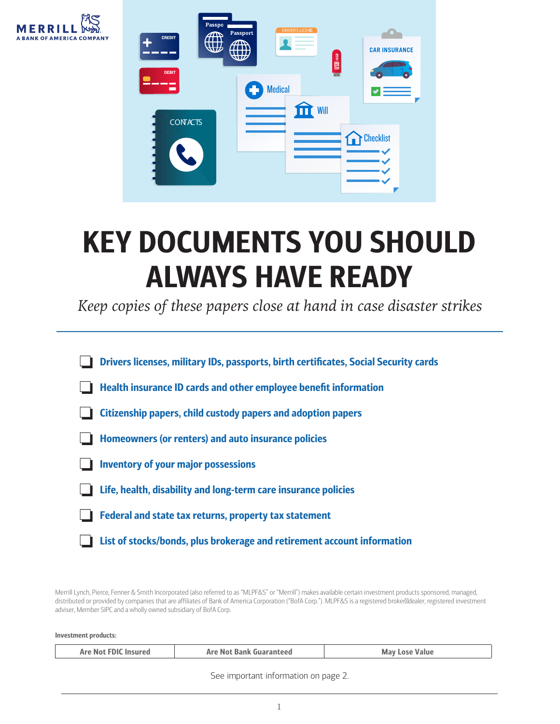



## KEY DOCUMENTS YOU SHOULD ALWAYS HAVE READY

*Keep copies of these papers close at hand in case disaster strikes*

| Drivers licenses, military IDs, passports, birth certificates, Social Security cards |  |  |
|--------------------------------------------------------------------------------------|--|--|
| <b>Health insurance ID cards and other employee benefit information</b>              |  |  |
| Citizenship papers, child custody papers and adoption papers                         |  |  |
| Homeowners (or renters) and auto insurance policies                                  |  |  |
| <b>Inventory of your major possessions</b>                                           |  |  |
| Life, health, disability and long-term care insurance policies                       |  |  |
| Federal and state tax returns, property tax statement                                |  |  |
| List of stocks/bonds, plus brokerage and retirement account information              |  |  |

Merrill Lynch, Pierce, Fenner & Smith Incorporated (also referred to as "MLPF&S" or "Merrill") makes available certain investment products sponsored, managed, distributed or provided by companies that are affiliates of Bank of America Corporation ("BofA Corp."). MLPF&S is a registered broker<sup>od</sup>ealer, registered investment adviser, Member SIPC and a wholly owned subsidiary of BofA Corp.

Investment products:

| Are Not FDIC Insured | <b>Are Not Bank Guaranteed</b> | <b>May Lose Value</b> |
|----------------------|--------------------------------|-----------------------|
|                      |                                |                       |

See important information on page 2.